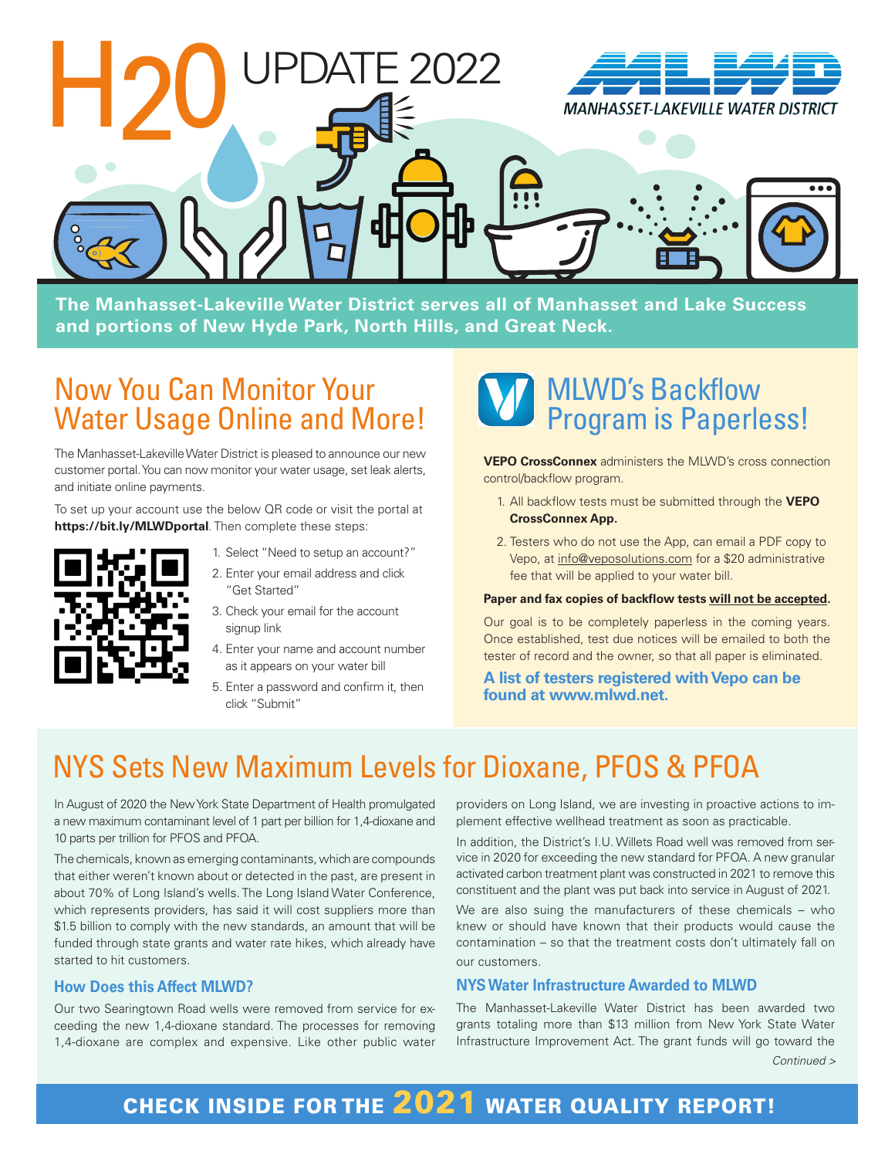

**The Manhasset-Lakeville Water District serves all of Manhasset and Lake Success and portions of New Hyde Park, North Hills, and Great Neck.**

# Now You Can Monitor Your Water Usage Online and More!

The Manhasset-Lakeville Water District is pleased to announce our new customer portal. You can now monitor your water usage, set leak alerts, and initiate online payments.

To set up your account use the below QR code or visit the portal at **https://bit.ly/MLWDportal**. Then complete these steps:



- 1. Select "Need to setup an account?" 2. Enter your email address and click
- "Get Started" 3. Check your email for the account
- signup link
- 4. Enter your name and account number as it appears on your water bill
- 5. Enter a password and confirm it, then click "Submit"



**VEPO CrossConnex** administers the MLWD's cross connection control/backflow program.

- 1. All backflow tests must be submitted through the **VEPO CrossConnex App.**
- 2. Testers who do not use the App, can email a PDF copy to Vepo, at info@veposolutions.com for a \$20 administrative fee that will be applied to your water bill.

#### **Paper and fax copies of backflow tests will not be accepted.**

Our goal is to be completely paperless in the coming years. Once established, test due notices will be emailed to both the tester of record and the owner, so that all paper is eliminated.

#### **A list of testers registered with Vepo can be found at www.mlwd.net.**

# NYS Sets New Maximum Levels for Dioxane, PFOS & PFOA

In August of 2020 the New York State Department of Health promulgated a new maximum contaminant level of 1 part per billion for 1,4-dioxane and 10 parts per trillion for PFOS and PFOA.

The chemicals, known as emerging contaminants, which are compounds that either weren't known about or detected in the past, are present in about 70% of Long Island's wells. The Long Island Water Conference, which represents providers, has said it will cost suppliers more than \$1.5 billion to comply with the new standards, an amount that will be funded through state grants and water rate hikes, which already have started to hit customers.

#### **How Does this Affect MLWD?**

Our two Searingtown Road wells were removed from service for exceeding the new 1,4-dioxane standard. The processes for removing 1,4-dioxane are complex and expensive. Like other public water

providers on Long Island, we are investing in proactive actions to implement effective wellhead treatment as soon as practicable.

In addition, the District's I.U. Willets Road well was removed from service in 2020 for exceeding the new standard for PFOA. A new granular activated carbon treatment plant was constructed in 2021 to remove this constituent and the plant was put back into service in August of 2021.

We are also suing the manufacturers of these chemicals – who knew or should have known that their products would cause the contamination – so that the treatment costs don't ultimately fall on our customers.

#### **NYS Water Infrastructure Awarded to MLWD**

The Manhasset-Lakeville Water District has been awarded two grants totaling more than \$13 million from New York State Water Infrastructure Improvement Act. The grant funds will go toward the *Continued >*

# CHECK INSIDE FOR THE 2021 WATER QUALITY REPORT!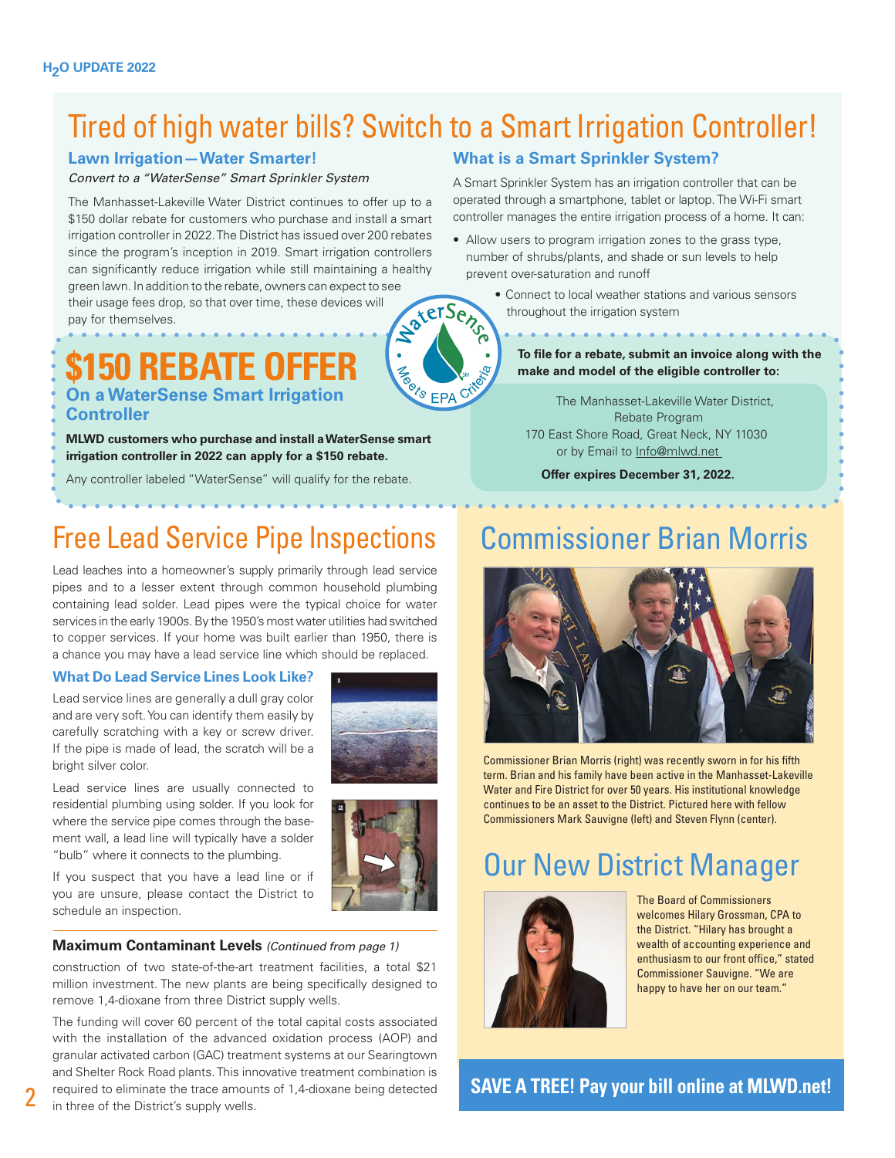# Tired of high water bills? Switch to a Smart Irrigation Controller!

**FROM EPA** 

# **Lawn Irrigation—Water Smarter!**

#### *Convert to a "WaterSense" Smart Sprinkler System*

The Manhasset-Lakeville Water District continues to offer up to a \$150 dollar rebate for customers who purchase and install a smart irrigation controller in 2022. The District has issued over 200 rebates since the program's inception in 2019. Smart irrigation controllers can significantly reduce irrigation while still maintaining a healthy green lawn. In addition to the rebate, owners can expect to see aterSense their usage fees drop, so that over time, these devices will

pay for themselves.

# **\$150 REBATE OFF On a WaterSense Smart Irrigation Controller**

**MLWD customers who purchase and install a WaterSense smart irrigation controller in 2022 can apply for a \$150 rebate.** 

Any controller labeled "WaterSense" will qualify for the rebate.

# Free Lead Service Pipe Inspections

Lead leaches into a homeowner's supply primarily through lead service pipes and to a lesser extent through common household plumbing containing lead solder. Lead pipes were the typical choice for water services in the early 1900s. By the 1950's most water utilities had switched to copper services. If your home was built earlier than 1950, there is a chance you may have a lead service line which should be replaced.

## **What Do Lead Service Lines Look Like?**

Lead service lines are generally a dull gray color and are very soft. You can identify them easily by carefully scratching with a key or screw driver. If the pipe is made of lead, the scratch will be a bright silver color.

Lead service lines are usually connected to residential plumbing using solder. If you look for where the service pipe comes through the basement wall, a lead line will typically have a solder "bulb" where it connects to the plumbing.



If you suspect that you have a lead line or if you are unsure, please contact the District to

schedule an inspection.

#### **Maximum Contaminant Levels** *(Continued from page 1)*

construction of two state-of-the-art treatment facilities, a total \$21 million investment. The new plants are being specifically designed to remove 1,4-dioxane from three District supply wells.

The funding will cover 60 percent of the total capital costs associated with the installation of the advanced oxidation process (AOP) and granular activated carbon (GAC) treatment systems at our Searingtown and Shelter Rock Road plants. This innovative treatment combination is required to eliminate the trace amounts of 1,4-dioxane being detected in three of the District's supply wells.

# **What is a Smart Sprinkler System?**

A Smart Sprinkler System has an irrigation controller that can be operated through a smartphone, tablet or laptop. The Wi-Fi smart controller manages the entire irrigation process of a home. It can:

- Allow users to program irrigation zones to the grass type, number of shrubs/plants, and shade or sun levels to help prevent over-saturation and runoff
	- Connect to local weather stations and various sensors throughout the irrigation system

**To file for a rebate, submit an invoice along with the make and model of the eligible controller to:** 

The Manhasset-Lakeville Water District, Rebate Program 170 East Shore Road, Great Neck, NY 11030 or by Email to Info@mlwd.net

**Offer expires December 31, 2022.**

# Commissioner Brian Morris



Commissioner Brian Morris (right) was recently sworn in for his fifth term. Brian and his family have been active in the Manhasset-Lakeville Water and Fire District for over 50 years. His institutional knowledge continues to be an asset to the District. Pictured here with fellow Commissioners Mark Sauvigne (left) and Steven Flynn (center).

# Our New District Manager



The Board of Commissioners welcomes Hilary Grossman, CPA to the District. "Hilary has brought a wealth of accounting experience and enthusiasm to our front office," stated Commissioner Sauvigne. "We are happy to have her on our team."

**SAVE A TREE! Pay your bill online at MLWD.net!**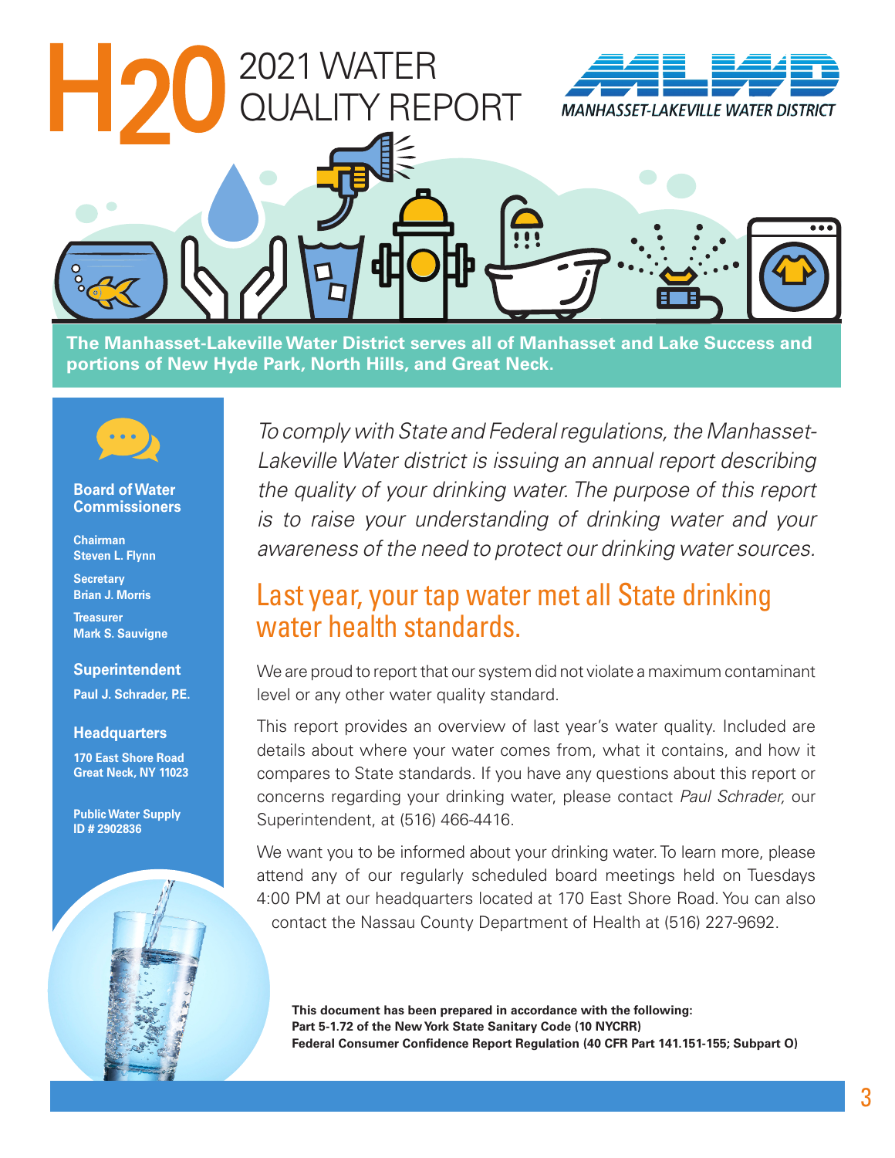

**The Manhasset-Lakeville Water District serves all of Manhasset and Lake Success and portions of New Hyde Park, North Hills, and Great Neck.**



#### **Board of Water Commissioners**

**Chairman Steven L. Flynn**

**Secretary Brian J. Morris**

**Treasurer Mark S. Sauvigne**

## **Superintendent**

**Paul J. Schrader, P.E.**

#### **Headquarters**

**170 East Shore Road Great Neck, NY 11023**

**Public Water Supply ID # 2902836**



*To comply with State and Federal regulations, the Manhasset-Lakeville Water district is issuing an annual report describing the quality of your drinking water. The purpose of this report is to raise your understanding of drinking water and your awareness of the need to protect our drinking water sources.*

# Last year, your tap water met all State drinking water health standards.

We are proud to report that our system did not violate a maximum contaminant level or any other water quality standard.

This report provides an overview of last year's water quality. Included are details about where your water comes from, what it contains, and how it compares to State standards. If you have any questions about this report or concerns regarding your drinking water, please contact *Paul Schrader,* our Superintendent, at (516) 466-4416.

We want you to be informed about your drinking water. To learn more, please attend any of our regularly scheduled board meetings held on Tuesdays 4:00 PM at our headquarters located at 170 East Shore Road. You can also contact the Nassau County Department of Health at (516) 227-9692.

**This document has been prepared in accordance with the following: Part 5-1.72 of the New York State Sanitary Code (10 NYCRR) Federal Consumer Confidence Report Regulation (40 CFR Part 141.151-155; Subpart O)**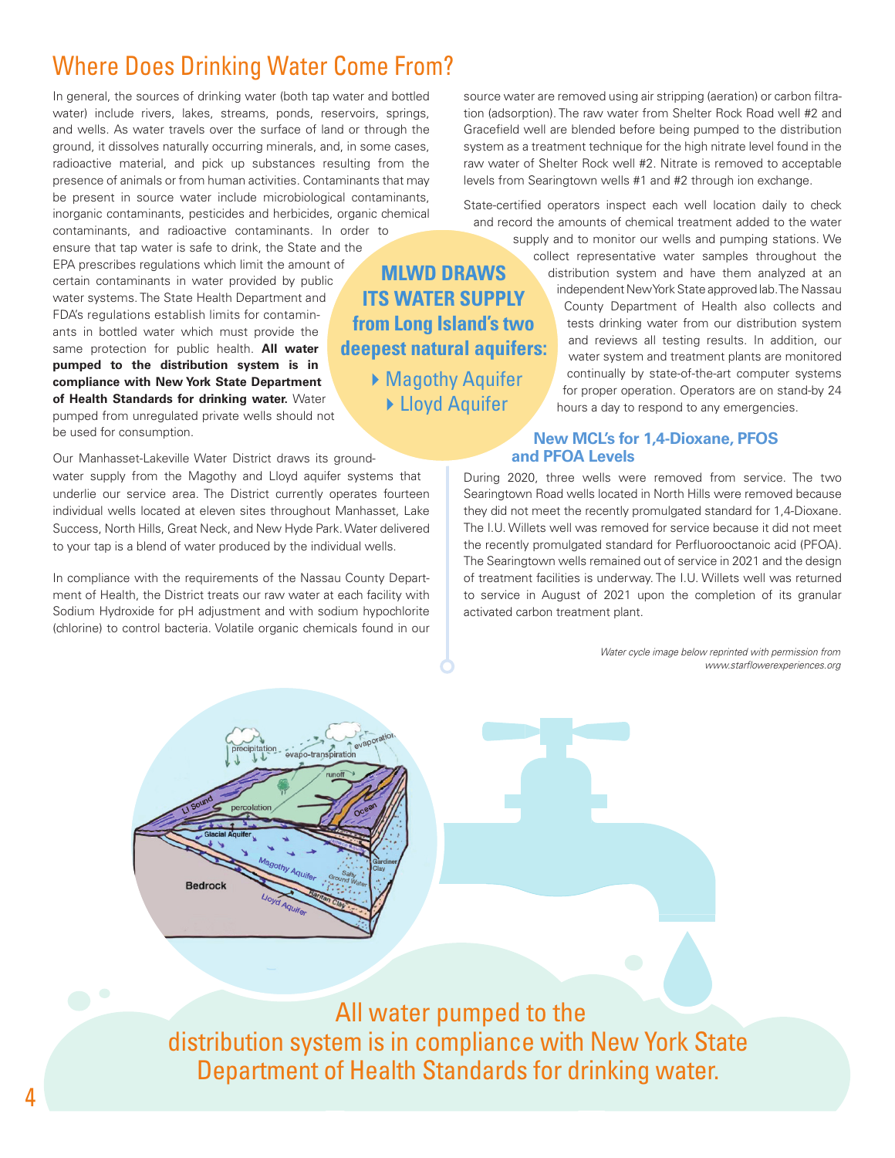# Where Does Drinking Water Come From?

In general, the sources of drinking water (both tap water and bottled water) include rivers, lakes, streams, ponds, reservoirs, springs, and wells. As water travels over the surface of land or through the ground, it dissolves naturally occurring minerals, and, in some cases, radioactive material, and pick up substances resulting from the presence of animals or from human activities. Contaminants that may be present in source water include microbiological contaminants, inorganic contaminants, pesticides and herbicides, organic chemical

contaminants, and radioactive contaminants. In order to ensure that tap water is safe to drink, the State and the EPA prescribes regulations which limit the amount of certain contaminants in water provided by public water systems. The State Health Department and FDA's regulations establish limits for contaminants in bottled water which must provide the same protection for public health. **All water pumped to the distribution system is in compliance with New York State Department of Health Standards for drinking water.** Water pumped from unregulated private wells should not

be used for consumption.

Our Manhasset-Lakeville Water District draws its groundwater supply from the Magothy and Lloyd aquifer systems that underlie our service area. The District currently operates fourteen individual wells located at eleven sites throughout Manhasset, Lake Success, North Hills, Great Neck, and New Hyde Park. Water delivered to your tap is a blend of water produced by the individual wells.

In compliance with the requirements of the Nassau County Department of Health, the District treats our raw water at each facility with Sodium Hydroxide for pH adjustment and with sodium hypochlorite (chlorine) to control bacteria. Volatile organic chemicals found in our

**Bedrock** 

source water are removed using air stripping (aeration) or carbon filtration (adsorption). The raw water from Shelter Rock Road well #2 and Gracefield well are blended before being pumped to the distribution system as a treatment technique for the high nitrate level found in the raw water of Shelter Rock well #2. Nitrate is removed to acceptable levels from Searingtown wells #1 and #2 through ion exchange.

State-certified operators inspect each well location daily to check and record the amounts of chemical treatment added to the water

**MLWD DRAWS ITS WATER SUPPLY from Long Island's two deepest natural aquifers:** ▶ Magothy Aquifer ▶ Lloyd Aquifer

supply and to monitor our wells and pumping stations. We collect representative water samples throughout the distribution system and have them analyzed at an independent New York State approved lab. The Nassau County Department of Health also collects and tests drinking water from our distribution system and reviews all testing results. In addition, our water system and treatment plants are monitored continually by state-of-the-art computer systems for proper operation. Operators are on stand-by 24 hours a day to respond to any emergencies.

### **New MCL's for 1,4-Dioxane, PFOS and PFOA Levels**

During 2020, three wells were removed from service. The two Searingtown Road wells located in North Hills were removed because they did not meet the recently promulgated standard for 1,4-Dioxane. The I.U. Willets well was removed for service because it did not meet the recently promulgated standard for Perfluorooctanoic acid (PFOA). The Searingtown wells remained out of service in 2021 and the design of treatment facilities is underway. The I.U. Willets well was returned to service in August of 2021 upon the completion of its granular activated carbon treatment plant.

> *Water cycle image below reprinted with permission from www.starflowerexperiences.org*

All water pumped to the distribution system is in compliance with New York State Department of Health Standards for drinking water.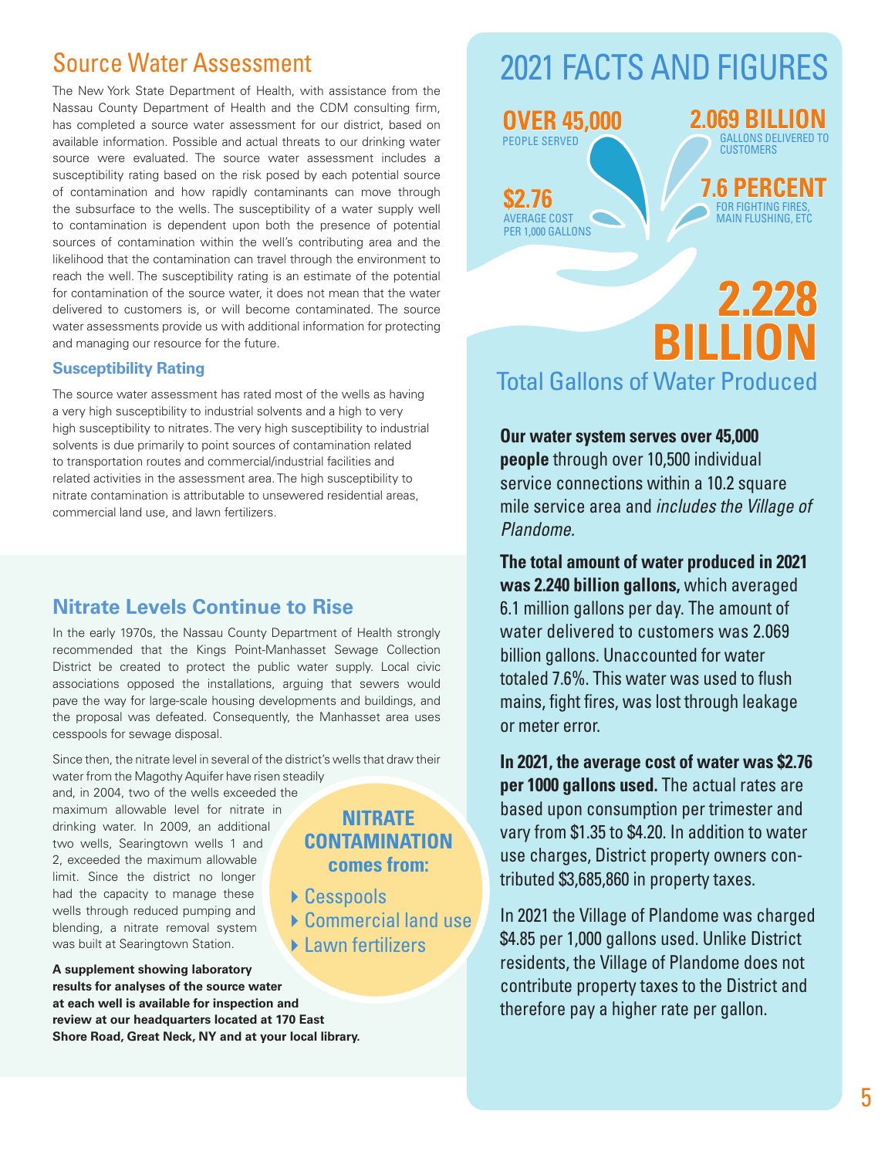# Source Water Assessment

The New York State Department of Health, with assistance from the Nassau County Department of Health and the CDM consulting firm, has completed a source water assessment for our district, based on available information. Possible and actual threats to our drinking water source were evaluated. The source water assessment includes a susceptibility rating based on the risk posed by each potential source of contamination and how rapidly contaminants can move through the subsurface to the wells. The susceptibility of a water supply well to contamination is dependent upon both the presence of potential sources of contamination within the well's contributing area and the likelihood that the contamination can travel through the environment to reach the well. The susceptibility rating is an estimate of the potential for contamination of the source water, it does not mean that the water delivered to customers is, or will become contaminated. The source water assessments provide us with additional information for protecting and managing our resource for the future.

## **Susceptibility Rating**

The source water assessment has rated most of the wells as having a very high susceptibility to industrial solvents and a high to very high susceptibility to nitrates. The very high susceptibility to industrial solvents is due primarily to point sources of contamination related to transportation routes and commercial/industrial facilities and related activities in the assessment area. The high susceptibility to nitrate contamination is attributable to unsewered residential areas, commercial land use, and lawn fertilizers.

# **Nitrate Levels Continue to Rise**

In the early 1970s, the Nassau County Department of Health strongly recommended that the Kings Point-Manhasset Sewage Collection District be created to protect the public water supply. Local civic associations opposed the installations, arguing that sewers would pave the way for large-scale housing developments and buildings, and the proposal was defeated. Consequently, the Manhasset area uses cesspools for sewage disposal.

Since then, the nitrate level in several of the district's wells that draw their water from the Magothy Aquifer have risen steadily

and, in 2004, two of the wells exceeded the maximum allowable level for nitrate in drinking water. In 2009, an additional two wells, Searingtown wells 1 and 2, exceeded the maximum allowable limit. Since the district no longer had the capacity to manage these wells through reduced pumping and blending, a nitrate removal system was built at Searingtown Station.

**A supplement showing laboratory results for analyses of the source water at each well is available for inspection and review at our headquarters located at 170 East Shore Road, Great Neck, NY and at your local library.** 

# **NITRATE CONTAMINATION comes from:**

- ▶ Cesspools
- Commercial land use  $\blacktriangleright$  Lawn fertilizers
- 

# 2021 FACTS AND FIGURES



# **2.228 BILLION** Total Gallons of Water Produced

**Our water system serves over 45,000 people** through over 10,500 individual service connections within a 10.2 square mile service area and *includes the Village of Plandome.* 

**The total amount of water produced in 2021 was 2.240 billion gallons,** which averaged 6.1 million gallons per day. The amount of water delivered to customers was 2.069 billion gallons. Unaccounted for water totaled 7.6%. This water was used to flush mains, fight fires, was lost through leakage or meter error.

**In 2021, the average cost of water was \$2.76 per 1000 gallons used.** The actual rates are based upon consumption per trimester and vary from \$1.35 to \$4.20. In addition to water use charges, District property owners contributed \$3,685,860 in property taxes.

In 2021 the Village of Plandome was charged \$4.85 per 1,000 gallons used. Unlike District residents, the Village of Plandome does not contribute property taxes to the District and therefore pay a higher rate per gallon.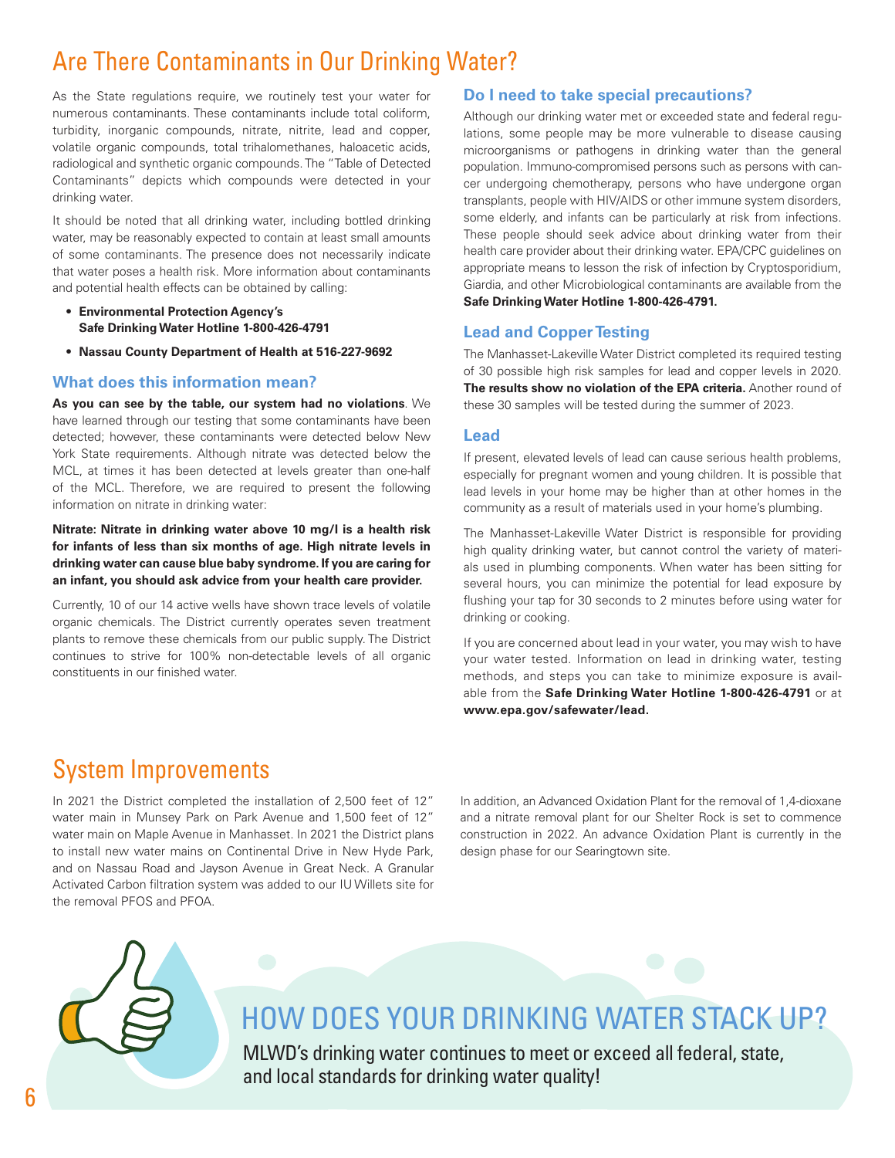# Are There Contaminants in Our Drinking Water?

As the State regulations require, we routinely test your water for numerous contaminants. These contaminants include total coliform, turbidity, inorganic compounds, nitrate, nitrite, lead and copper, volatile organic compounds, total trihalomethanes, haloacetic acids, radiological and synthetic organic compounds. The "Table of Detected Contaminants" depicts which compounds were detected in your drinking water.

It should be noted that all drinking water, including bottled drinking water, may be reasonably expected to contain at least small amounts of some contaminants. The presence does not necessarily indicate that water poses a health risk. More information about contaminants and potential health effects can be obtained by calling:

- **Environmental Protection Agency's Safe Drinking Water Hotline 1-800-426-4791**
- **Nassau County Department of Health at 516-227-9692**

#### **What does this information mean?**

**As you can see by the table, our system had no violations**. We have learned through our testing that some contaminants have been detected; however, these contaminants were detected below New York State requirements. Although nitrate was detected below the MCL, at times it has been detected at levels greater than one-half of the MCL. Therefore, we are required to present the following information on nitrate in drinking water:

**Nitrate: Nitrate in drinking water above 10 mg/l is a health risk for infants of less than six months of age. High nitrate levels in drinking water can cause blue baby syndrome. If you are caring for an infant, you should ask advice from your health care provider.**

Currently, 10 of our 14 active wells have shown trace levels of volatile organic chemicals. The District currently operates seven treatment plants to remove these chemicals from our public supply. The District continues to strive for 100% non-detectable levels of all organic constituents in our finished water.

## **Do I need to take special precautions?**

Although our drinking water met or exceeded state and federal regulations, some people may be more vulnerable to disease causing microorganisms or pathogens in drinking water than the general population. Immuno-compromised persons such as persons with cancer undergoing chemotherapy, persons who have undergone organ transplants, people with HIV/AIDS or other immune system disorders, some elderly, and infants can be particularly at risk from infections. These people should seek advice about drinking water from their health care provider about their drinking water. EPA/CPC guidelines on appropriate means to lesson the risk of infection by Cryptosporidium, Giardia, and other Microbiological contaminants are available from the **Safe Drinking Water Hotline 1-800-426-4791.** 

### **Lead and Copper Testing**

The Manhasset-Lakeville Water District completed its required testing of 30 possible high risk samples for lead and copper levels in 2020. **The results show no violation of the EPA criteria.** Another round of these 30 samples will be tested during the summer of 2023.

#### **Lead**

If present, elevated levels of lead can cause serious health problems, especially for pregnant women and young children. It is possible that lead levels in your home may be higher than at other homes in the community as a result of materials used in your home's plumbing.

The Manhasset-Lakeville Water District is responsible for providing high quality drinking water, but cannot control the variety of materials used in plumbing components. When water has been sitting for several hours, you can minimize the potential for lead exposure by flushing your tap for 30 seconds to 2 minutes before using water for drinking or cooking.

If you are concerned about lead in your water, you may wish to have your water tested. Information on lead in drinking water, testing methods, and steps you can take to minimize exposure is available from the **Safe Drinking Water Hotline 1-800-426-4791** or at **www.epa.gov/safewater/lead.**

# System Improvements

In 2021 the District completed the installation of 2,500 feet of 12" water main in Munsey Park on Park Avenue and 1,500 feet of 12" water main on Maple Avenue in Manhasset. In 2021 the District plans to install new water mains on Continental Drive in New Hyde Park, and on Nassau Road and Jayson Avenue in Great Neck. A Granular Activated Carbon filtration system was added to our IU Willets site for the removal PFOS and PFOA.

In addition, an Advanced Oxidation Plant for the removal of 1,4-dioxane and a nitrate removal plant for our Shelter Rock is set to commence construction in 2022. An advance Oxidation Plant is currently in the design phase for our Searingtown site.



# HOW DOES YOUR DRINKING WATER STACK UP?

MLWD's drinking water continues to meet or exceed all federal, state, and local standards for drinking water quality!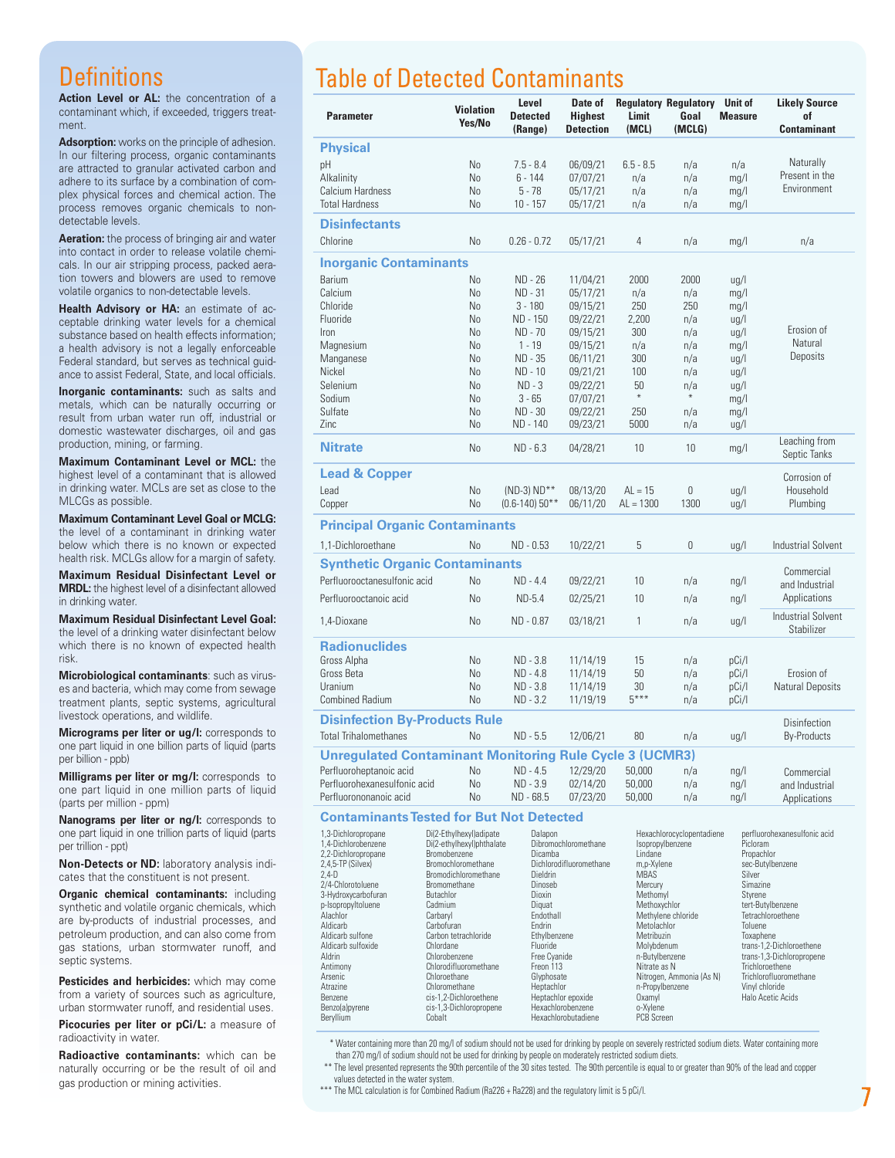# **Definitions**

Action Level or AL: the concentration of a contaminant which, if exceeded, triggers treatment.

**Adsorption:** works on the principle of adhesion. In our filtering process, organic contaminants are attracted to granular activated carbon and adhere to its surface by a combination of complex physical forces and chemical action. The process removes organic chemicals to nondetectable levels.

**Aeration:** the process of bringing air and water into contact in order to release volatile chemicals. In our air stripping process, packed aeration towers and blowers are used to remove volatile organics to non-detectable levels.

**Health Advisory or HA:** an estimate of acceptable drinking water levels for a chemical substance based on health effects information; a health advisory is not a legally enforceable Federal standard, but serves as technical guidance to assist Federal, State, and local officials.

**Inorganic contaminants:** such as salts and metals, which can be naturally occurring or result from urban water run off, industrial or domestic wastewater discharges, oil and gas production, mining, or farming.

**Maximum Contaminant Level or MCL:** the highest level of a contaminant that is allowed in drinking water. MCLs are set as close to the MLCGs as possible.

**Maximum Contaminant Level Goal or MCLG:**  the level of a contaminant in drinking water below which there is no known or expected health risk. MCLGs allow for a margin of safety.

**Maximum Residual Disinfectant Level or MRDL:** the highest level of a disinfectant allowed in drinking water.

**Maximum Residual Disinfectant Level Goal:**  the level of a drinking water disinfectant below which there is no known of expected health risk.

**Microbiological contaminants**: such as viruses and bacteria, which may come from sewage treatment plants, septic systems, agricultural livestock operations, and wildlife.

**Micrograms per liter or ug/l:** corresponds to one part liquid in one billion parts of liquid (parts per billion - ppb)

**Milligrams per liter or mg/l:** corresponds to one part liquid in one million parts of liquid (parts per million - ppm)

**Nanograms per liter or ng/l:** corresponds to one part liquid in one trillion parts of liquid (parts per trillion - ppt)

**Non-Detects or ND:** laboratory analysis indicates that the constituent is not present.

**Organic chemical contaminants:** including synthetic and volatile organic chemicals, which are by-products of industrial processes, and petroleum production, and can also come from gas stations, urban stormwater runoff, and septic systems.

**Pesticides and herbicides:** which may come from a variety of sources such as agriculture, urban stormwater runoff, and residential uses.

**Picocuries per liter or pCi/L:** a measure of radioactivity in water.

**Radioactive contaminants:** which can be naturally occurring or be the result of oil and gas production or mining activities.

# Table of Detected Contaminants

| <b>Parameter</b>                                               | <b>Violation</b><br>Yes/No                                 | Level<br><b>Detected</b><br>(Range)                                                                                                     | Date of<br><b>Highest</b><br><b>Detection</b> | Limit<br>(MCL)                                                                                                                                                    | <b>Regulatory Regulatory</b><br>Goal<br>(MCLG) | <b>Unit of</b><br><b>Measure</b>         | <b>Likely Source</b><br>of<br><b>Contaminant</b>                                                                     |  |
|----------------------------------------------------------------|------------------------------------------------------------|-----------------------------------------------------------------------------------------------------------------------------------------|-----------------------------------------------|-------------------------------------------------------------------------------------------------------------------------------------------------------------------|------------------------------------------------|------------------------------------------|----------------------------------------------------------------------------------------------------------------------|--|
| <b>Physical</b>                                                |                                                            |                                                                                                                                         |                                               |                                                                                                                                                                   |                                                |                                          |                                                                                                                      |  |
| pH                                                             | N <sub>0</sub>                                             | $7.5 - 8.4$                                                                                                                             | 06/09/21                                      | $6.5 - 8.5$                                                                                                                                                       | n/a                                            | n/a                                      | Naturally                                                                                                            |  |
| Alkalinity                                                     | N <sub>o</sub>                                             | $6 - 144$                                                                                                                               | 07/07/21                                      | n/a                                                                                                                                                               | n/a                                            | mg/l                                     | Present in the                                                                                                       |  |
| Calcium Hardness                                               | N <sub>o</sub>                                             | $5 - 78$                                                                                                                                | 05/17/21                                      | n/a                                                                                                                                                               | n/a                                            | mg/l                                     | Environment                                                                                                          |  |
| <b>Total Hardness</b>                                          | <b>No</b>                                                  | $10 - 157$                                                                                                                              | 05/17/21                                      | n/a                                                                                                                                                               | n/a                                            | mg/l                                     |                                                                                                                      |  |
| <b>Disinfectants</b>                                           |                                                            |                                                                                                                                         |                                               |                                                                                                                                                                   |                                                |                                          |                                                                                                                      |  |
| Chlorine                                                       | No                                                         | $0.26 - 0.72$                                                                                                                           | 05/17/21                                      | $\overline{4}$                                                                                                                                                    | n/a                                            | mg/l                                     | n/a                                                                                                                  |  |
| <b>Inorganic Contaminants</b>                                  |                                                            |                                                                                                                                         |                                               |                                                                                                                                                                   |                                                |                                          |                                                                                                                      |  |
| Barium                                                         | No                                                         | ND - 26                                                                                                                                 | 11/04/21                                      | 2000                                                                                                                                                              | 2000                                           | ug/l                                     |                                                                                                                      |  |
| Calcium                                                        | N <sub>0</sub>                                             | ND - 31                                                                                                                                 | 05/17/21                                      | n/a                                                                                                                                                               | n/a                                            | mg/l                                     |                                                                                                                      |  |
| Chloride                                                       | No                                                         | $3 - 180$                                                                                                                               | 09/15/21                                      | 250                                                                                                                                                               | 250                                            | mg/l                                     |                                                                                                                      |  |
| Fluoride                                                       | N <sub>o</sub>                                             | ND - 150                                                                                                                                | 09/22/21                                      | 2,200                                                                                                                                                             | n/a                                            | ug/l                                     | Erosion of                                                                                                           |  |
| Iron                                                           | No                                                         | ND - 70                                                                                                                                 | 09/15/21                                      | 300                                                                                                                                                               | n/a                                            | $\lg$ /l                                 | Natural                                                                                                              |  |
| Magnesium                                                      | N <sub>0</sub>                                             | $1 - 19$                                                                                                                                | 09/15/21                                      | n/a                                                                                                                                                               | n/a                                            | mg/l                                     |                                                                                                                      |  |
| Manganese                                                      | No                                                         | ND - 35                                                                                                                                 | 06/11/21                                      | 300                                                                                                                                                               | n/a                                            | ug/l                                     | Deposits                                                                                                             |  |
| Nickel                                                         | No                                                         | ND - 10                                                                                                                                 | 09/21/21                                      | 100                                                                                                                                                               | n/a                                            | ug/l                                     |                                                                                                                      |  |
| Selenium                                                       | No                                                         | $ND - 3$                                                                                                                                | 09/22/21                                      | 50<br>$\ast$                                                                                                                                                      | n/a<br>$\ast$                                  | ug/l                                     |                                                                                                                      |  |
| Sodium                                                         | N <sub>o</sub>                                             | $3 - 65$                                                                                                                                | 07/07/21                                      |                                                                                                                                                                   |                                                | mg/l                                     |                                                                                                                      |  |
| Sulfate                                                        | No<br><b>No</b>                                            | ND - 30                                                                                                                                 | 09/22/21                                      | 250                                                                                                                                                               | n/a                                            | mg/l                                     |                                                                                                                      |  |
| Zinc                                                           |                                                            | ND - 140                                                                                                                                | 09/23/21                                      | 5000                                                                                                                                                              | n/a                                            | ug/l                                     |                                                                                                                      |  |
| <b>Nitrate</b>                                                 | N <sub>o</sub>                                             | $ND - 6.3$                                                                                                                              | 04/28/21                                      | 10                                                                                                                                                                | 10                                             | mg/l                                     | Leaching from<br>Septic Tanks                                                                                        |  |
| <b>Lead &amp; Copper</b>                                       |                                                            |                                                                                                                                         |                                               |                                                                                                                                                                   |                                                |                                          | Corrosion of                                                                                                         |  |
| Lead                                                           | No                                                         | $(ND-3) ND**$                                                                                                                           | 08/13/20                                      | $AL = 15$                                                                                                                                                         | 0                                              | ug/l                                     | Household                                                                                                            |  |
| Copper                                                         | No                                                         | $(0.6 - 140)$ 50**                                                                                                                      | 06/11/20                                      | $AL = 1300$                                                                                                                                                       | 1300                                           | ug/l                                     | Plumbing                                                                                                             |  |
| <b>Principal Organic Contaminants</b>                          |                                                            |                                                                                                                                         |                                               |                                                                                                                                                                   |                                                |                                          |                                                                                                                      |  |
| 1,1-Dichloroethane                                             | No                                                         | ND - 0.53                                                                                                                               | 10/22/21                                      | 5                                                                                                                                                                 | 0                                              | ug/l                                     | <b>Industrial Solvent</b>                                                                                            |  |
| <b>Synthetic Organic Contaminants</b>                          |                                                            |                                                                                                                                         |                                               |                                                                                                                                                                   |                                                |                                          | Commercial                                                                                                           |  |
| Perfluorooctanesulfonic acid                                   | N <sub>o</sub>                                             | ND - 4.4                                                                                                                                | 09/22/21                                      | 10                                                                                                                                                                | n/a                                            | $\frac{ng}{l}$                           | and Industrial                                                                                                       |  |
| Perfluorooctanoic acid                                         | No                                                         | $ND-5.4$                                                                                                                                | 02/25/21                                      | 10                                                                                                                                                                | n/a                                            | $\frac{ng}{l}$                           | Applications                                                                                                         |  |
| 1,4-Dioxane                                                    | <b>No</b>                                                  | ND - 0.87                                                                                                                               | 03/18/21                                      | $\mathbf{1}$                                                                                                                                                      | n/a                                            | ug/l                                     | <b>Industrial Solvent</b><br><b>Stabilizer</b>                                                                       |  |
| <b>Radionuclides</b>                                           |                                                            |                                                                                                                                         |                                               |                                                                                                                                                                   |                                                |                                          |                                                                                                                      |  |
| Gross Alpha                                                    | <b>No</b>                                                  | ND - 3.8                                                                                                                                | 11/14/19                                      | 15                                                                                                                                                                | n/a                                            | pCi/l                                    |                                                                                                                      |  |
| Gross Beta                                                     | <b>No</b>                                                  | ND - 4.8                                                                                                                                | 11/14/19                                      | 50                                                                                                                                                                | n/a                                            | pCi/l                                    | Erosion of                                                                                                           |  |
| Uranium                                                        | <b>No</b>                                                  | $ND - 3.8$                                                                                                                              | 11/14/19                                      | 30                                                                                                                                                                | n/a                                            | pCi/l                                    | <b>Natural Deposits</b>                                                                                              |  |
| <b>Combined Radium</b>                                         | <b>No</b>                                                  | $ND - 3.2$                                                                                                                              | 11/19/19                                      | $5***$                                                                                                                                                            | n/a                                            | pCi/l                                    |                                                                                                                      |  |
| <b>Disinfection By-Products Rule</b><br>Disinfection           |                                                            |                                                                                                                                         |                                               |                                                                                                                                                                   |                                                |                                          |                                                                                                                      |  |
| <b>Total Trihalomethanes</b>                                   | No                                                         | $ND - 5.5$                                                                                                                              | 12/06/21                                      | 80                                                                                                                                                                | n/a                                            | ug/l                                     | <b>By-Products</b>                                                                                                   |  |
| <b>Unregulated Contaminant Monitoring Rule Cycle 3 (UCMR3)</b> |                                                            |                                                                                                                                         |                                               |                                                                                                                                                                   |                                                |                                          |                                                                                                                      |  |
| Perfluoroheptanoic acid                                        | No                                                         | ND - 4.5                                                                                                                                | 12/29/20                                      | 50,000                                                                                                                                                            | n/a                                            | $\frac{ng}{l}$                           | Commercial                                                                                                           |  |
| Perfluorohexanesulfonic acid                                   | No                                                         | ND - 3.9                                                                                                                                | 02/14/20                                      | 50,000                                                                                                                                                            | n/a                                            | $\frac{ng}{l}$                           | and Industrial                                                                                                       |  |
| Perfluorononanoic acid                                         | No                                                         | ND - 68.5                                                                                                                               | 07/23/20                                      | 50,000                                                                                                                                                            | n/a                                            | $\frac{ng}{l}$                           | Applications                                                                                                         |  |
| <b>Contaminants Tested for But Not Detected</b>                |                                                            |                                                                                                                                         |                                               |                                                                                                                                                                   |                                                |                                          |                                                                                                                      |  |
| 1.3-Dichloropropane<br>1,4-Dichlorobenzene                     | Di(2-Ethylhexyl)adipate<br>Di(2-ethylhexyl)phthalate       | Dalapon<br>Dibromochloromethane<br>Dicamba<br>Dichlorodifluoromethane<br>Dieldrin<br>Dinoseb<br>Dioxin<br>Diquat<br>Endothall<br>Endrin |                                               | Hexachlorocyclopentadiene<br>Isopropylbenzene<br>Lindane<br>m,p-Xylene<br><b>MBAS</b><br>Mercury<br>Methomyl<br>Methoxychlor<br>Methylene chloride<br>Metolachlor |                                                | perfluorohexanesulfonic acid<br>Picloram |                                                                                                                      |  |
| 2,2-Dichloropropane<br>2,4,5-TP (Silvex)<br>$2,4-D$            | Bromobenzene<br>Bromochloromethane<br>Bromodichloromethane |                                                                                                                                         |                                               |                                                                                                                                                                   |                                                |                                          | Propachlor<br>sec-Butylbenzene<br>Silver<br>Simazine<br>Styrene<br>tert-Butylbenzene<br>Tetrachloroethene<br>Toluene |  |
| 2/4-Chlorotoluene                                              | Bromomethane                                               |                                                                                                                                         |                                               |                                                                                                                                                                   |                                                |                                          |                                                                                                                      |  |
| 3-Hydroxycarbofuran<br>p-IsopropyItoluene                      | Butachlor<br>Cadmium                                       |                                                                                                                                         |                                               |                                                                                                                                                                   |                                                |                                          |                                                                                                                      |  |
| Alachlor                                                       | Carbaryl                                                   |                                                                                                                                         |                                               |                                                                                                                                                                   |                                                |                                          |                                                                                                                      |  |
| Aldicarb                                                       | Carbofuran                                                 |                                                                                                                                         |                                               |                                                                                                                                                                   |                                                |                                          |                                                                                                                      |  |
| Aldicarb sulfone<br>Aldicarb sulfoxide                         | Carbon tetrachloride<br>Chlordane                          | Ethylbenzene<br>Fluoride                                                                                                                |                                               | Metribuzin<br>Molybdenum                                                                                                                                          |                                                | Toxaphene                                | trans-1,2-Dichloroethene                                                                                             |  |
| Aldrin                                                         | Chlorobenzene                                              | Free Cyanide                                                                                                                            |                                               | n-Butylbenzene                                                                                                                                                    |                                                |                                          | trans-1,3-Dichloropropene                                                                                            |  |
| Antimony                                                       | Chlorodifluoromethane                                      |                                                                                                                                         | Freon 113                                     |                                                                                                                                                                   | Nitrate as N                                   |                                          | Trichloroethene                                                                                                      |  |
| Arsenic<br>Atrazine                                            | Chloroethane<br>Chloromethane                              | Glyphosate<br>Heptachlor                                                                                                                |                                               | n-Propylbenzene                                                                                                                                                   | Nitrogen, Ammonia (As N)                       | Vinyl chloride                           | Trichlorofluoromethane                                                                                               |  |
| Benzene                                                        | cis-1,2-Dichloroethene                                     | Heptachlor epoxide                                                                                                                      |                                               | <b>Oxamyl</b>                                                                                                                                                     |                                                |                                          | Halo Acetic Acids                                                                                                    |  |
| Benzo(a)pyrene                                                 | cis-1,3-Dichloropropene                                    | Hexachlorobenzene                                                                                                                       |                                               | o-Xylene                                                                                                                                                          |                                                |                                          |                                                                                                                      |  |

 \* Water containing more than 20 mg/l of sodium should not be used for drinking by people on severely restricted sodium diets. Water containing more than 270 mg/l of sodium should not be used for drinking by people on moderately restricted sodium diets.

 \*\* The level presented represents the 90th percentile of the 30 sites tested. The 90th percentile is equal to or greater than 90% of the lead and copper values detected in the water system.

Hexachlorobutadiene

\*\*\* The MCL calculation is for Combined Radium (Ra226 + Ra228) and the regulatory limit is 5 pCi/l.

Benzo(a)pyrene cis-1,3-Dichloropropene Hexachlorobenzene o-Xylene cis-1,3-Dichloropropene Hexachlorobenzene o-Xylene<br>Bervllium Cobalt Cobalt Hexachlorobutadiene PCB Screen